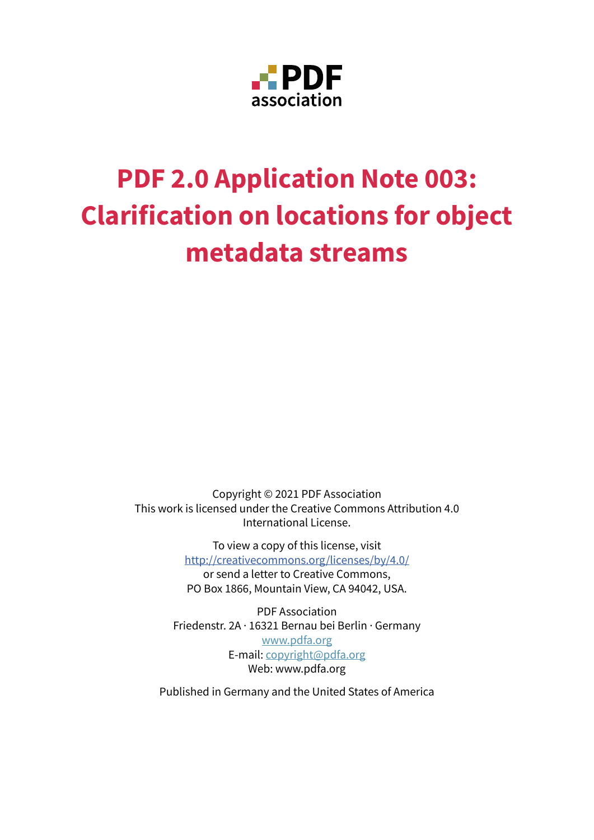

# **PDF 2.0 Application Note 003: Clarification on locations for object metadata streams**

Copyright © 2021 PDF Association This work is licensed under the Creative Commons Attribution 4.0 International License.

> To view a copy of this license, visit <http://creativecommons.org/licenses/by/4.0/> or send a letter to Creative Commons,

> PO Box 1866, Mountain View, CA 94042, USA.

PDF Association Friedenstr. 2A · 16321 Bernau bei Berlin · Germany [www.pdfa.org](http://www.pdfa.org/) E-mail: [copyright@pdfa.org](mailto:copyright%40pdfa.org?subject=) Web: www.pdfa.org

Published in Germany and the United States of America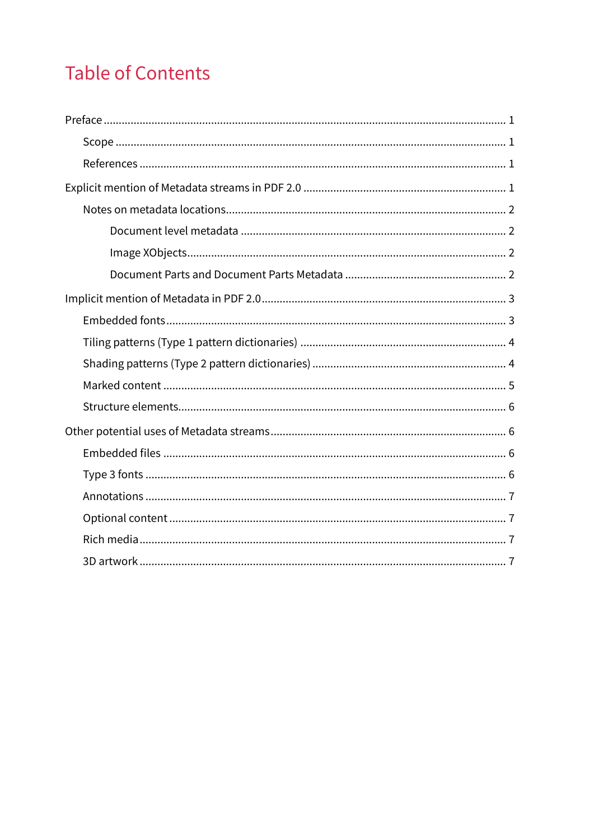# **Table of Contents**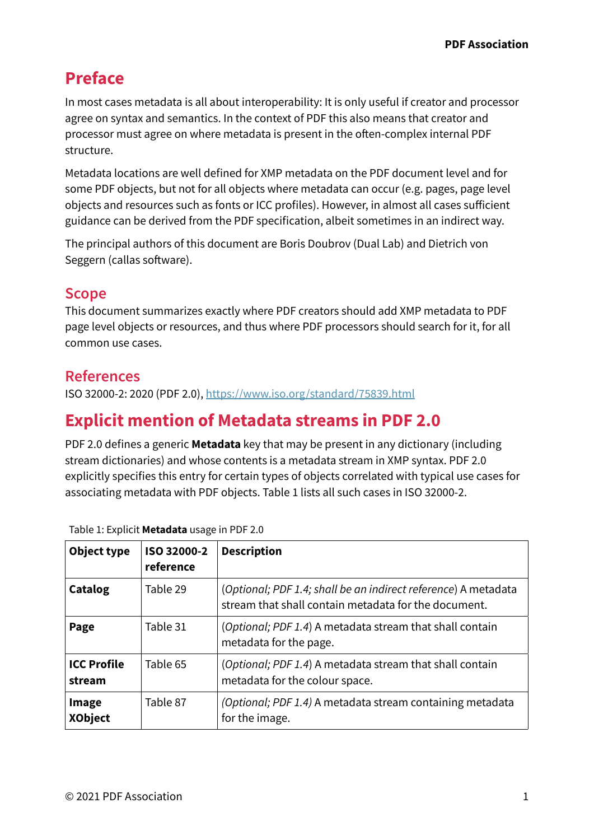# <span id="page-2-0"></span>**Preface**

In most cases metadata is all about interoperability: It is only useful if creator and processor agree on syntax and semantics. In the context of PDF this also means that creator and processor must agree on where metadata is present in the often-complex internal PDF structure.

Metadata locations are well defned for XMP metadata on the PDF document level and for some PDF objects, but not for all objects where metadata can occur (e.g. pages, page level objects and resources such as fonts or ICC profles). However, in almost all cases suficient guidance can be derived from the PDF specifcation, albeit sometimes in an indirect way.

The principal authors of this document are Boris Doubrov (Dual Lab) and Dietrich von Seggern (callas software).

#### **Scope**

This document summarizes exactly where PDF creators should add XMP metadata to PDF page level objects or resources, and thus where PDF processors should search for it, for all common use cases.

### **References**

ISO 32000-2: 2020 (PDF 2.0),<https://www.iso.org/standard/75839.html>

# **Explicit mention of Metadata streams in PDF 2.0**

PDF 2.0 defnes a generic **Metadata** key that may be present in any dictionary (including stream dictionaries) and whose contents is a metadata stream in XMP syntax. PDF 2.0 explicitly specifies this entry for certain types of objects correlated with typical use cases for associating metadata with PDF objects. Table 1 lists all such cases in ISO 32000-2.

| Object type                  | ISO 32000-2<br>reference | <b>Description</b>                                                                                                     |
|------------------------------|--------------------------|------------------------------------------------------------------------------------------------------------------------|
| Catalog                      | Table 29                 | (Optional; PDF 1.4; shall be an indirect reference) A metadata<br>stream that shall contain metadata for the document. |
| Page                         | Table 31                 | (Optional; PDF 1.4) A metadata stream that shall contain<br>metadata for the page.                                     |
| <b>ICC Profile</b><br>stream | Table 65                 | (Optional; PDF 1.4) A metadata stream that shall contain<br>metadata for the colour space.                             |
| Image<br><b>XObject</b>      | Table 87                 | (Optional; PDF 1.4) A metadata stream containing metadata<br>for the image.                                            |

Table 1: Explicit **Metadata** usage in PDF 2.0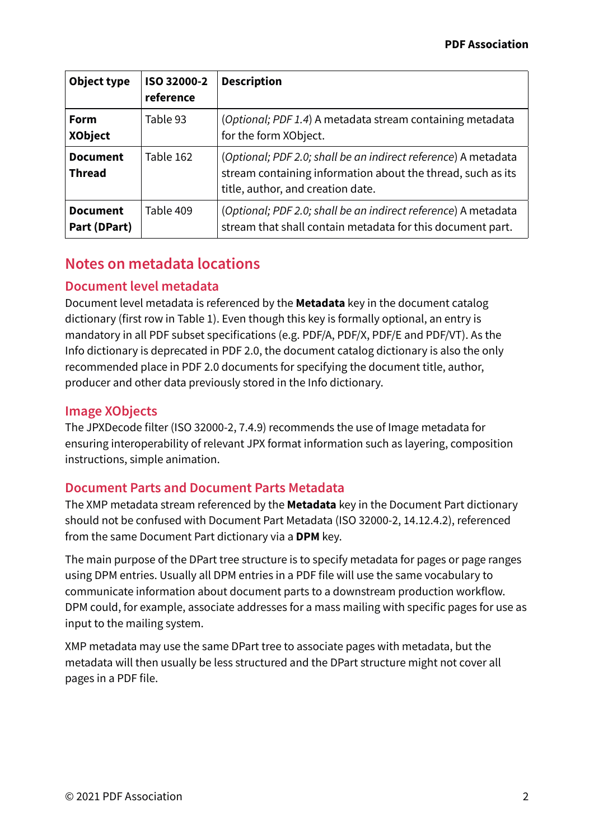<span id="page-3-0"></span>

| Object type                      | ISO 32000-2<br>reference | <b>Description</b>                                                                                                                                                 |
|----------------------------------|--------------------------|--------------------------------------------------------------------------------------------------------------------------------------------------------------------|
| Form<br><b>XObject</b>           | Table 93                 | (Optional; PDF 1.4) A metadata stream containing metadata<br>for the form XObject.                                                                                 |
| <b>Document</b><br><b>Thread</b> | Table 162                | (Optional; PDF 2.0; shall be an indirect reference) A metadata<br>stream containing information about the thread, such as its<br>title, author, and creation date. |
| <b>Document</b><br>Part (DPart)  | Table 409                | (Optional; PDF 2.0; shall be an indirect reference) A metadata<br>stream that shall contain metadata for this document part.                                       |

### **Notes on metadata locations**

#### **Document level metadata**

Document level metadata is referenced by the **Metadata** key in the document catalog dictionary (first row in Table 1). Even though this key is formally optional, an entry is mandatory in all PDF subset specifications (e.g. PDF/A, PDF/X, PDF/E and PDF/VT). As the Info dictionary is deprecated in PDF 2.0, the document catalog dictionary is also the only recommended place in PDF 2.0 documents for specifying the document title, author, producer and other data previously stored in the Info dictionary.

#### **Image XObjects**

The JPXDecode flter (ISO 32000-2, 7.4.9) recommends the use of Image metadata for ensuring interoperability of relevant JPX format information such as layering, composition instructions, simple animation.

#### **Document Parts and Document Parts Metadata**

The XMP metadata stream referenced by the **Metadata** key in the Document Part dictionary should not be confused with Document Part Metadata (ISO 32000-2, 14.12.4.2), referenced from the same Document Part dictionary via a **DPM** key.

The main purpose of the DPart tree structure is to specify metadata for pages or page ranges using DPM entries. Usually all DPM entries in a PDF fle will use the same vocabulary to communicate information about document parts to a downstream production workflow. DPM could, for example, associate addresses for a mass mailing with specific pages for use as input to the mailing system.

XMP metadata may use the same DPart tree to associate pages with metadata, but the metadata will then usually be less structured and the DPart structure might not cover all pages in a PDF fle.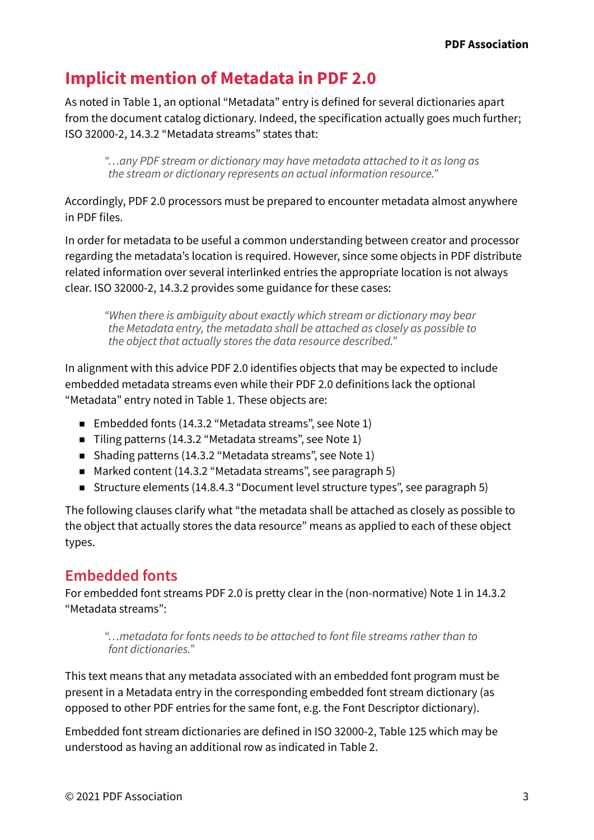# <span id="page-4-0"></span>**Implicit mention of Metadata in PDF 2.0**

As noted in Table 1, an optional "Metadata" entry is defned for several dictionaries apart from the document catalog dictionary. Indeed, the specification actually goes much further; ISO 32000-2, 14.3.2 "Metadata streams" states that:

*"…any PDF stream or dictionary may have metadata attached to it as long as the stream or dictionary represents an actual information resource."*

Accordingly, PDF 2.0 processors must be prepared to encounter metadata almost anywhere in PDF fles.

In order for metadata to be useful a common understanding between creator and processor regarding the metadata's location is required. However, since some objects in PDF distribute related information over several interlinked entries the appropriate location is not always clear. ISO 32000-2, 14.3.2 provides some guidance for these cases:

*"When there is ambiguity about exactly which stream or dictionary may bear the Metadata entry, the metadata shall be attached as closely as possible to the object that actually stores the data resource described."*

In alignment with this advice PDF 2.0 identifies objects that may be expected to include embedded metadata streams even while their PDF 2.0 definitions lack the optional "Metadata" entry noted in Table 1. These objects are:

- Embedded fonts (14.3.2 "Metadata streams", see Note 1)
- Tiling patterns (14.3.2 "Metadata streams", see Note 1)
- Shading patterns (14.3.2 "Metadata streams", see Note 1)
- Marked content (14.3.2 "Metadata streams", see paragraph 5)
- Structure elements (14.8.4.3 "Document level structure types", see paragraph 5)

The following clauses clarify what "the metadata shall be attached as closely as possible to the object that actually stores the data resource" means as applied to each of these object types.

# **Embedded fonts**

For embedded font streams PDF 2.0 is pretty clear in the (non-normative) Note 1 in 14.3.2 "Metadata streams":

*"…metadata for fonts needs to be attached to font fle streams rather than to font dictionaries."*

This text means that any metadata associated with an embedded font program must be present in a Metadata entry in the corresponding embedded font stream dictionary (as opposed to other PDF entries for the same font, e.g. the Font Descriptor dictionary).

Embedded font stream dictionaries are defned in ISO 32000-2, Table 125 which may be understood as having an additional row as indicated in Table 2.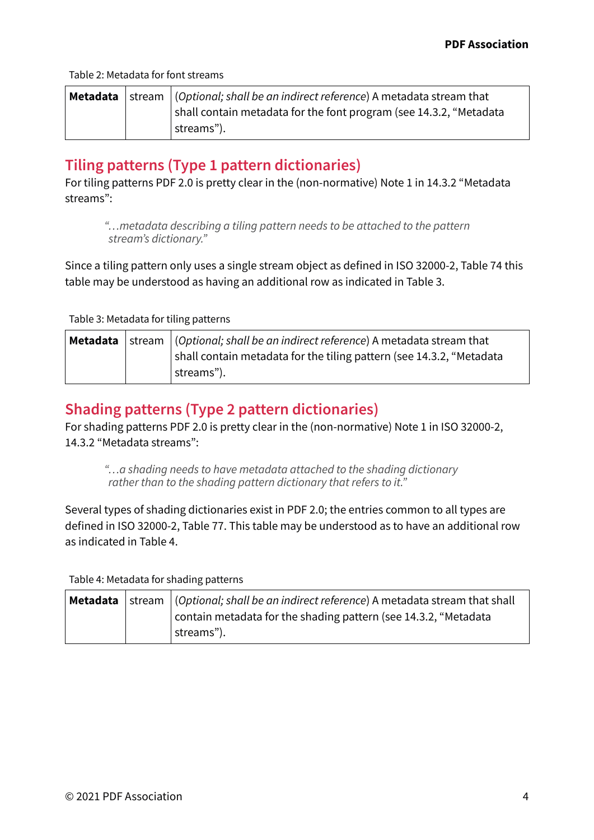<span id="page-5-0"></span>Table 2: Metadata for font streams

|  | <b>Metadata</b>   stream   (Optional; shall be an indirect reference) A metadata stream that |
|--|----------------------------------------------------------------------------------------------|
|  | shall contain metadata for the font program (see 14.3.2, "Metadata                           |
|  | streams").                                                                                   |

## **Tiling patterns (Type 1 pattern dictionaries)**

For tiling patterns PDF 2.0 is pretty clear in the (non-normative) Note 1 in 14.3.2 "Metadata streams":

*"…metadata describing a tiling pattern needs to be attached to the pattern stream's dictionary."*

Since a tiling pattern only uses a single stream object as defined in ISO 32000-2, Table 74 this table may be understood as having an additional row as indicated in Table 3.

Table 3: Metadata for tiling patterns

|  | <b>Metadata</b> stream $\vert$ (Optional; shall be an indirect reference) A metadata stream that |
|--|--------------------------------------------------------------------------------------------------|
|  | shall contain metadata for the tiling pattern (see 14.3.2, "Metadata                             |
|  | streams").                                                                                       |

### **Shading patterns (Type 2 pattern dictionaries)**

For shading patterns PDF 2.0 is pretty clear in the (non-normative) Note 1 in ISO 32000-2, 14.3.2 "Metadata streams":

*"…a shading needs to have metadata attached to the shading dictionary rather than to the shading pattern dictionary that refers to it."*

Several types of shading dictionaries exist in PDF 2.0; the entries common to all types are defined in ISO 32000-2, Table 77. This table may be understood as to have an additional row as indicated in Table 4.

Table 4: Metadata for shading patterns

|  | Metadata  stream  (Optional; shall be an indirect reference) A metadata stream that shall |
|--|-------------------------------------------------------------------------------------------|
|  | contain metadata for the shading pattern (see 14.3.2, "Metadata                           |
|  | streams").                                                                                |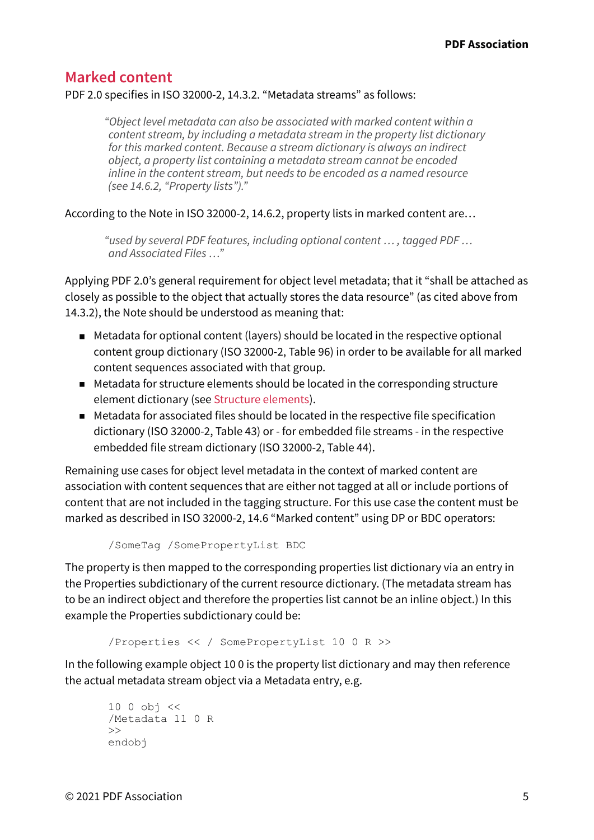#### <span id="page-6-0"></span>**Marked content**

#### PDF 2.0 specifies in ISO 32000-2, 14.3.2. "Metadata streams" as follows:

*"Object level metadata can also be associated with marked content within a content stream, by including a metadata stream in the property list dictionary for this marked content. Because a stream dictionary is always an indirect object, a property list containing a metadata stream cannot be encoded inline in the content stream, but needs to be encoded as a named resource (see 14.6.2, "Property lists")."*

According to the Note in ISO 32000-2, 14.6.2, property lists in marked content are…

*"used by several PDF features, including optional content … , tagged PDF … and Associated Files …"*

Applying PDF 2.0's general requirement for object level metadata; that it "shall be attached as closely as possible to the object that actually stores the data resource" (as cited above from 14.3.2), the Note should be understood as meaning that:

- Metadata for optional content (layers) should be located in the respective optional content group dictionary (ISO 32000-2, Table 96) in order to be available for all marked content sequences associated with that group.
- Metadata for structure elements should be located in the corresponding structure element dictionary (see [Structure elements\)](#page-7-1).
- Metadata for associated files should be located in the respective file specification dictionary (ISO 32000-2, Table 43) or - for embedded fle streams - in the respective embedded fle stream dictionary (ISO 32000-2, Table 44).

Remaining use cases for object level metadata in the context of marked content are association with content sequences that are either not tagged at all or include portions of content that are not included in the tagging structure. For this use case the content must be marked as described in ISO 32000-2, 14.6 "Marked content" using DP or BDC operators:

```
/SomeTag /SomePropertyList BDC
```
The property is then mapped to the corresponding properties list dictionary via an entry in the Properties subdictionary of the current resource dictionary. (The metadata stream has to be an indirect object and therefore the properties list cannot be an inline object.) In this example the Properties subdictionary could be:

```
/Properties << / SomePropertyList 10 0 R >>
```
In the following example object 10 0 is the property list dictionary and may then reference the actual metadata stream object via a Metadata entry, e.g.

```
10 0 obj <<
/Metadata 11 0 R
\rightarrowendobj
```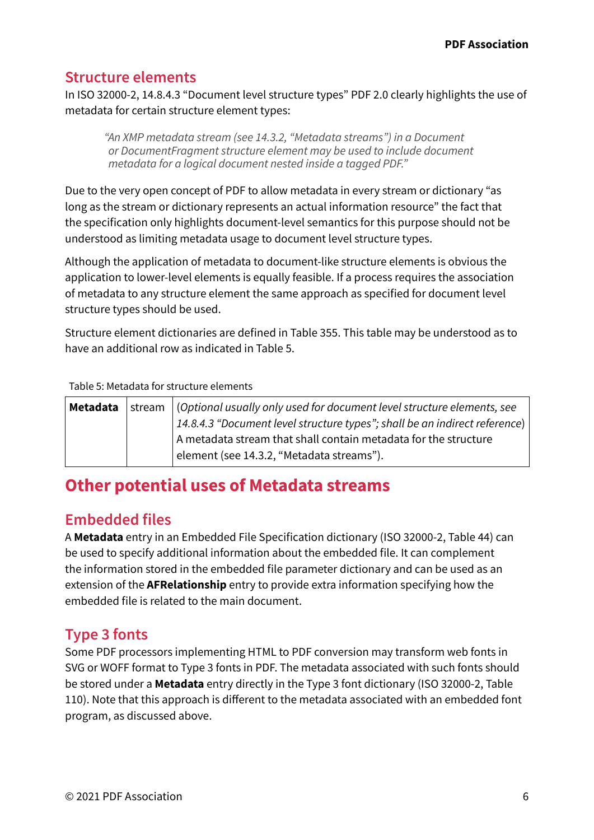### <span id="page-7-1"></span><span id="page-7-0"></span>**Structure elements**

In ISO 32000-2, 14.8.4.3 "Document level structure types" PDF 2.0 clearly highlights the use of metadata for certain structure element types:

*"An XMP metadata stream (see 14.3.2, "Metadata streams") in a Document or DocumentFragment structure element may be used to include document metadata for a logical document nested inside a tagged PDF."*

Due to the very open concept of PDF to allow metadata in every stream or dictionary "as long as the stream or dictionary represents an actual information resource" the fact that the specifcation only highlights document-level semantics for this purpose should not be understood as limiting metadata usage to document level structure types.

Although the application of metadata to document-like structure elements is obvious the application to lower-level elements is equally feasible. If a process requires the association of metadata to any structure element the same approach as specifed for document level structure types should be used.

Structure element dictionaries are defned in Table 355. This table may be understood as to have an additional row as indicated in Table 5.

Table 5: Metadata for structure elements

| Metadata | $\vert$ stream $\vert$ (Optional usually only used for document level structure elements, see |
|----------|-----------------------------------------------------------------------------------------------|
|          | 14.8.4.3 "Document level structure types"; shall be an indirect reference)                    |
|          | A metadata stream that shall contain metadata for the structure                               |
|          | element (see 14.3.2, "Metadata streams").                                                     |

# **Other potential uses of Metadata streams**

#### **Embedded fles**

A **Metadata** entry in an Embedded File Specifcation dictionary (ISO 32000-2, Table 44) can be used to specify additional information about the embedded fle. It can complement the information stored in the embedded fle parameter dictionary and can be used as an extension of the **AFRelationship** entry to provide extra information specifying how the embedded fle is related to the main document.

# **Type 3 fonts**

Some PDF processors implementing HTML to PDF conversion may transform web fonts in SVG or WOFF format to Type 3 fonts in PDF. The metadata associated with such fonts should be stored under a **Metadata** entry directly in the Type 3 font dictionary (ISO 32000-2, Table 110). Note that this approach is diferent to the metadata associated with an embedded font program, as discussed above.